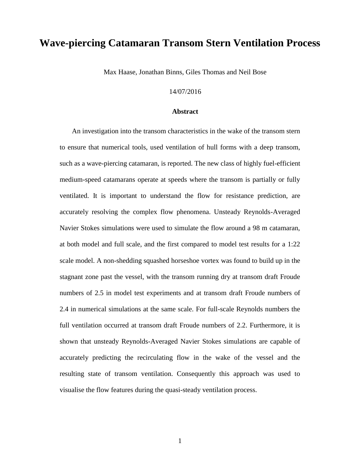# **Wave-piercing Catamaran Transom Stern Ventilation Process**

Max Haase, Jonathan Binns, Giles Thomas and Neil Bose

#### 14/07/2016

#### **Abstract**

An investigation into the transom characteristics in the wake of the transom stern to ensure that numerical tools, used ventilation of hull forms with a deep transom, such as a wave-piercing catamaran, is reported. The new class of highly fuel-efficient medium-speed catamarans operate at speeds where the transom is partially or fully ventilated. It is important to understand the flow for resistance prediction, are accurately resolving the complex flow phenomena. Unsteady Reynolds-Averaged Navier Stokes simulations were used to simulate the flow around a 98 m catamaran, at both model and full scale, and the first compared to model test results for a 1:22 scale model. A non-shedding squashed horseshoe vortex was found to build up in the stagnant zone past the vessel, with the transom running dry at transom draft Froude numbers of 2.5 in model test experiments and at transom draft Froude numbers of 2.4 in numerical simulations at the same scale. For full-scale Reynolds numbers the full ventilation occurred at transom draft Froude numbers of 2.2. Furthermore, it is shown that unsteady Reynolds-Averaged Navier Stokes simulations are capable of accurately predicting the recirculating flow in the wake of the vessel and the resulting state of transom ventilation. Consequently this approach was used to visualise the flow features during the quasi-steady ventilation process.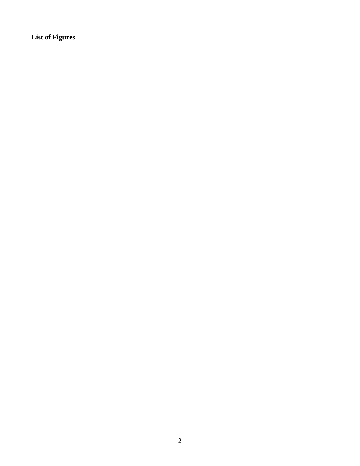**List of Figures**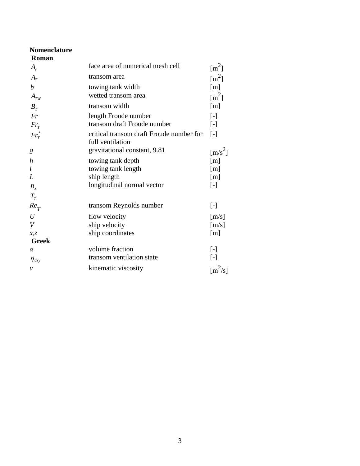| <b>Nomenclature</b>              |                                                              |                                        |
|----------------------------------|--------------------------------------------------------------|----------------------------------------|
| Roman                            |                                                              |                                        |
| $A_i$                            | face area of numerical mesh cell                             | $\mathrm{[m}^2$                        |
| $A_T$                            | transom area                                                 | $\mathrm{Im}^2$                        |
| $\boldsymbol{b}$                 | towing tank width                                            | $\lceil m \rceil$                      |
| $A_{TW}$                         | wetted transom area                                          | $\mathrm{[m^2]}$                       |
| $B_T$                            | transom width                                                | [m]                                    |
| Fr                               | length Froude number                                         | $\lceil - \rceil$                      |
| $Fr_T$                           | transom draft Froude number                                  | $\lceil - \rceil$                      |
| $Fr_T^*$                         | critical transom draft Froude number for<br>full ventilation | $\lceil - \rceil$                      |
| g                                | gravitational constant, 9.81                                 | $\left[\frac{m}{s^2}\right]$           |
| $\boldsymbol{h}$                 | towing tank depth                                            | [m]                                    |
| l                                | towing tank length                                           | $\lceil m \rceil$                      |
| L                                | ship length                                                  | [m]                                    |
| $n_{x}$                          | longitudinal normal vector                                   | $[\cdot]$                              |
| $T_{T}$                          |                                                              |                                        |
| $Re_T$                           | transom Reynolds number                                      | $[\cdot]$                              |
| $\overline{U}$                   | flow velocity                                                | $\lceil m/s \rceil$                    |
| $\boldsymbol{V}$                 | ship velocity                                                | $\lceil m/s \rceil$                    |
| x, z                             | ship coordinates                                             | [m]                                    |
| <b>Greek</b>                     |                                                              |                                        |
| $\alpha$                         | volume fraction                                              | $\lbrack - \rbrack$                    |
| $\eta_{\scriptscriptstyle{drv}}$ | transom ventilation state                                    | $[\cdot]$                              |
| $\mathcal{V}$                    | kinematic viscosity                                          | $\left[\mathrm{m}^2/\mathrm{s}\right]$ |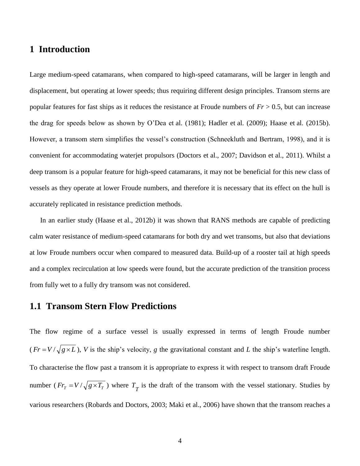## **1 Introduction**

Large medium-speed catamarans, when compared to high-speed catamarans, will be larger in length and displacement, but operating at lower speeds; thus requiring different design principles. Transom sterns are popular features for fast ships as it reduces the resistance at Froude numbers of *Fr* > 0.5, but can increase the drag for speeds below as shown by O'Dea et al. (1981); Hadler et al. (2009); Haase et al. (2015b). However, a transom stern simplifies the vessel's construction (Schneekluth and Bertram, 1998), and it is convenient for accommodating waterjet propulsors (Doctors et al., 2007; Davidson et al., 2011). Whilst a deep transom is a popular feature for high-speed catamarans, it may not be beneficial for this new class of vessels as they operate at lower Froude numbers, and therefore it is necessary that its effect on the hull is accurately replicated in resistance prediction methods.

In an earlier study (Haase et al., 2012b) it was shown that RANS methods are capable of predicting calm water resistance of medium-speed catamarans for both dry and wet transoms, but also that deviations at low Froude numbers occur when compared to measured data. Build-up of a rooster tail at high speeds and a complex recirculation at low speeds were found, but the accurate prediction of the transition process from fully wet to a fully dry transom was not considered.

### **1.1 Transom Stern Flow Predictions**

The flow regime of a surface vessel is usually expressed in terms of length Froude number  $(Fr = V / \sqrt{g \times L})$ , *V* is the ship's velocity, *g* the gravitational constant and *L* the ship's waterline length. To characterise the flow past a transom it is appropriate to express it with respect to transom draft Froude number ( $Fr_T = V / \sqrt{g \times T_T}$ ) where  $T_T$  is the draft of the transom with the vessel stationary. Studies by various researchers (Robards and Doctors, 2003; Maki et al., 2006) have shown that the transom reaches a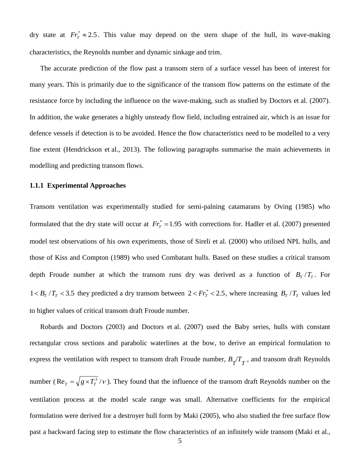dry state at  $Fr_T^* \approx 2.5$ . This value may depend on the stern shape of the hull, its wave-making characteristics, the Reynolds number and dynamic sinkage and trim.

The accurate prediction of the flow past a transom stern of a surface vessel has been of interest for many years. This is primarily due to the significance of the transom flow patterns on the estimate of the resistance force by including the influence on the wave-making, such as studied by Doctors et al. (2007). In addition, the wake generates a highly unsteady flow field, including entrained air, which is an issue for defence vessels if detection is to be avoided. Hence the flow characteristics need to be modelled to a very fine extent (Hendrickson et al., 2013). The following paragraphs summarise the main achievements in modelling and predicting transom flows.

#### **1.1.1 Experimental Approaches**

Transom ventilation was experimentally studied for semi-palning catamarans by Oving (1985) who formulated that the dry state will occur at  $Fr_T^* = 1.95$  with corrections for. Hadler et al. (2007) presented model test observations of his own experiments, those of Sireli et al. (2000) who utilised NPL hulls, and those of Kiss and Compton (1989) who used Combatant hulls. Based on these studies a critical transom depth Froude number at which the transom runs dry was derived as a function of  $B_T/T_T$ . For  $1 < B_T / T_T < 3.5$  they predicted a dry transom between  $2 < Fr_T^* < 2.5$ , where increasing  $B_T / T_T$  values led to higher values of critical transom draft Froude number.

Robards and Doctors (2003) and Doctors et al. (2007) used the Baby series, hulls with constant rectangular cross sections and parabolic waterlines at the bow, to derive an empirical formulation to express the ventilation with respect to transom draft Froude number,  $B_T/T_T$ , and transom draft Reynolds number (Re<sub> $T$ </sub> =  $\sqrt{g \times T_T^3 / \nu}$  $T_T = \sqrt{g \times T_T^3 / v}$ . They found that the influence of the transom draft Reynolds number on the ventilation process at the model scale range was small. Alternative coefficients for the empirical formulation were derived for a destroyer hull form by Maki (2005), who also studied the free surface flow past a backward facing step to estimate the flow characteristics of an infinitely wide transom (Maki et al.,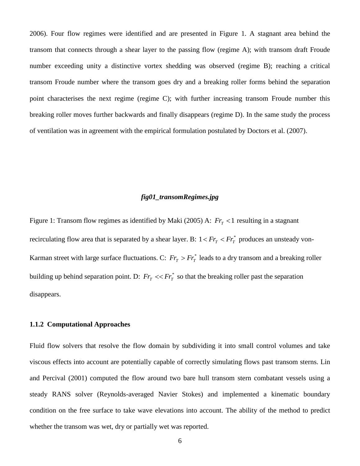2006). Four flow regimes were identified and are presented in Figure 1. A stagnant area behind the transom that connects through a shear layer to the passing flow (regime A); with transom draft Froude number exceeding unity a distinctive vortex shedding was observed (regime B); reaching a critical transom Froude number where the transom goes dry and a breaking roller forms behind the separation point characterises the next regime (regime C); with further increasing transom Froude number this breaking roller moves further backwards and finally disappears (regime D). In the same study the process of ventilation was in agreement with the empirical formulation postulated by Doctors et al. (2007).

### *fig01\_transomRegimes.jpg*

Figure 1: Transom flow regimes as identified by Maki (2005) A:  $Fr_T < 1$  resulting in a stagnant recirculating flow area that is separated by a shear layer. B:  $1 < Fr_T < Fr_T^*$  produces an unsteady von-Karman street with large surface fluctuations. C:  $Fr_T > Fr_T^*$  leads to a dry transom and a breaking roller building up behind separation point. D:  $Fr_T \ll Fr_T^*$  so that the breaking roller past the separation disappears.

#### **1.1.2 Computational Approaches**

Fluid flow solvers that resolve the flow domain by subdividing it into small control volumes and take viscous effects into account are potentially capable of correctly simulating flows past transom sterns. Lin and Percival (2001) computed the flow around two bare hull transom stern combatant vessels using a steady RANS solver (Reynolds-averaged Navier Stokes) and implemented a kinematic boundary condition on the free surface to take wave elevations into account. The ability of the method to predict whether the transom was wet, dry or partially wet was reported.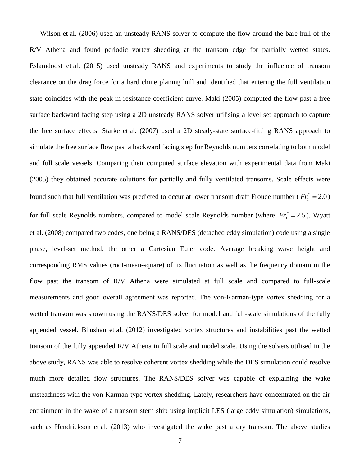Wilson et al. (2006) used an unsteady RANS solver to compute the flow around the bare hull of the R/V Athena and found periodic vortex shedding at the transom edge for partially wetted states. Eslamdoost et al. (2015) used unsteady RANS and experiments to study the influence of transom clearance on the drag force for a hard chine planing hull and identified that entering the full ventilation state coincides with the peak in resistance coefficient curve. Maki (2005) computed the flow past a free surface backward facing step using a 2D unsteady RANS solver utilising a level set approach to capture the free surface effects. Starke et al. (2007) used a 2D steady-state surface-fitting RANS approach to simulate the free surface flow past a backward facing step for Reynolds numbers correlating to both model and full scale vessels. Comparing their computed surface elevation with experimental data from Maki (2005) they obtained accurate solutions for partially and fully ventilated transoms. Scale effects were found such that full ventilation was predicted to occur at lower transom draft Froude number ( $Fr_T^* = 2.0$ ) for full scale Reynolds numbers, compared to model scale Reynolds number (where  $Fr_T^* = 2.5$ ). Wyatt et al. (2008) compared two codes, one being a RANS/DES (detached eddy simulation) code using a single phase, level-set method, the other a Cartesian Euler code. Average breaking wave height and corresponding RMS values (root-mean-square) of its fluctuation as well as the frequency domain in the flow past the transom of R/V Athena were simulated at full scale and compared to full-scale measurements and good overall agreement was reported. The von-Karman-type vortex shedding for a wetted transom was shown using the RANS/DES solver for model and full-scale simulations of the fully appended vessel. Bhushan et al. (2012) investigated vortex structures and instabilities past the wetted transom of the fully appended R/V Athena in full scale and model scale. Using the solvers utilised in the above study, RANS was able to resolve coherent vortex shedding while the DES simulation could resolve much more detailed flow structures. The RANS/DES solver was capable of explaining the wake unsteadiness with the von-Karman-type vortex shedding. Lately, researchers have concentrated on the air entrainment in the wake of a transom stern ship using implicit LES (large eddy simulation) simulations, such as Hendrickson et al. (2013) who investigated the wake past a dry transom. The above studies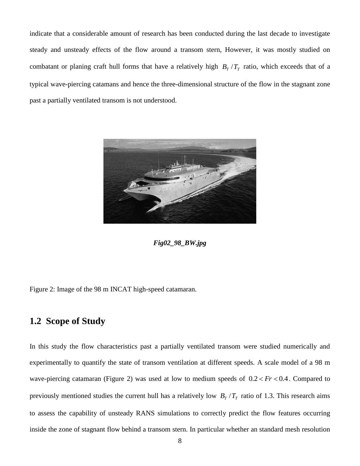indicate that a considerable amount of research has been conducted during the last decade to investigate steady and unsteady effects of the flow around a transom stern, However, it was mostly studied on combatant or planing craft hull forms that have a relatively high  $B_T/T_T$  ratio, which exceeds that of a typical wave-piercing catamans and hence the three-dimensional structure of the flow in the stagnant zone past a partially ventilated transom is not understood.



*Fig02\_98\_BW.jpg*

Figure 2: Image of the 98 m INCAT high-speed catamaran.

# **1.2 Scope of Study**

In this study the flow characteristics past a partially ventilated transom were studied numerically and experimentally to quantify the state of transom ventilation at different speeds. A scale model of a 98 m wave-piercing catamaran (Figure 2) was used at low to medium speeds of  $0.2 < Fr < 0.4$ . Compared to previously mentioned studies the current hull has a relatively low  $B_T/T_T$  ratio of 1.3. This research aims to assess the capability of unsteady RANS simulations to correctly predict the flow features occurring inside the zone of stagnant flow behind a transom stern. In particular whether an standard mesh resolution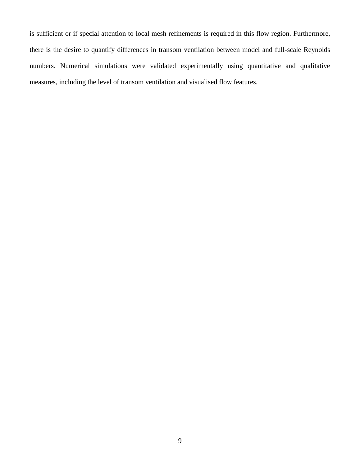is sufficient or if special attention to local mesh refinements is required in this flow region. Furthermore, there is the desire to quantify differences in transom ventilation between model and full-scale Reynolds numbers. Numerical simulations were validated experimentally using quantitative and qualitative measures, including the level of transom ventilation and visualised flow features.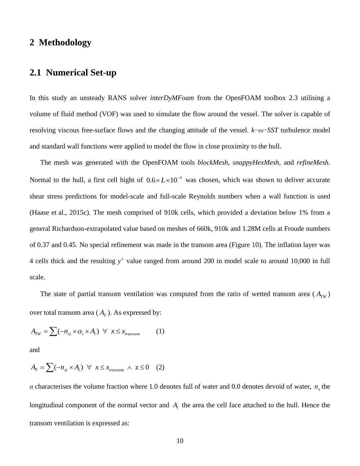# **2 Methodology**

# **2.1 Numerical Set-up**

In this study an unsteady RANS solver *interDyMFoam* from the OpenFOAM toolbox 2.3 utilising a volume of fluid method (VOF) was used to simulate the flow around the vessel. The solver is capable of resolving viscous free-surface flows and the changing attitude of the vessel. *k*−*ω*−*SST* turbulence model and standard wall functions were applied to model the flow in close proximity to the hull.

The mesh was generated with the OpenFOAM tools *blockMesh*, *snappyHexMesh*, and *refineMesh*. Normal to the hull, a first cell hight of  $0.6 \times L \times 10^{-3}$  was chosen, which was shown to deliver accurate shear stress predictions for model-scale and full-scale Reynolds numbers when a wall function is used (Haase et al., 2015c). The mesh comprised of 910k cells, which provided a deviation below 1% from a general Richardson-extrapolated value based on meshes of 660k, 910k and 1.28M cells at Froude numbers of 0.37 and 0.45. No special refinement was made in the transom area (Figure 10). The inflation layer was 4 cells thick and the resulting *y +* value ranged from around 200 in model scale to around 10,000 in full scale.

The state of partial transom ventilation was computed from the ratio of wetted transom area  $(A_{TW})$ over total transom area  $(A_T)$ . As expressed by:

$$
A_{TW} = \sum (-n_{xi} \times \alpha_i \times A_i) \quad \forall \quad x \le x_{transom}
$$
 (1)

and

$$
A_T = \sum (-n_{xi} \times A_i) \quad \forall \quad x \le x_{transom} \land \quad z \le 0 \tag{2}
$$

*α* characterises the volume fraction where 1.0 denotes full of water and 0.0 denotes devoid of water,  $n<sub>x</sub>$  the longitudinal component of the normal vector and  $A_i$  the area the cell face attached to the hull. Hence the transom ventilation is expressed as: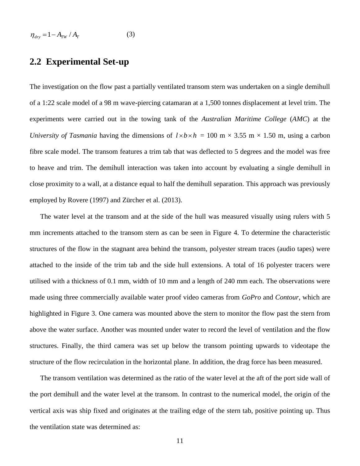$$
\eta_{\text{dry}} = 1 - A_{\text{TW}} / A_{\text{r}} \tag{3}
$$

## **2.2 Experimental Set-up**

The investigation on the flow past a partially ventilated transom stern was undertaken on a single demihull of a 1:22 scale model of a 98 m wave-piercing catamaran at a 1,500 tonnes displacement at level trim. The experiments were carried out in the towing tank of the *Australian Maritime College* (*AMC*) at the *University of Tasmania* having the dimensions of  $l \times b \times h = 100$  m  $\times$  3.55 m  $\times$  1.50 m, using a carbon fibre scale model. The transom features a trim tab that was deflected to 5 degrees and the model was free to heave and trim. The demihull interaction was taken into account by evaluating a single demihull in close proximity to a wall, at a distance equal to half the demihull separation. This approach was previously employed by Rovere (1997) and Zürcher et al. (2013).

The water level at the transom and at the side of the hull was measured visually using rulers with 5 mm increments attached to the transom stern as can be seen in Figure 4. To determine the characteristic structures of the flow in the stagnant area behind the transom, polyester stream traces (audio tapes) were attached to the inside of the trim tab and the side hull extensions. A total of 16 polyester tracers were utilised with a thickness of 0.1 mm, width of 10 mm and a length of 240 mm each. The observations were made using three commercially available water proof video cameras from *GoPro* and *Contour*, which are highlighted in Figure 3. One camera was mounted above the stern to monitor the flow past the stern from above the water surface. Another was mounted under water to record the level of ventilation and the flow structures. Finally, the third camera was set up below the transom pointing upwards to videotape the structure of the flow recirculation in the horizontal plane. In addition, the drag force has been measured.

The transom ventilation was determined as the ratio of the water level at the aft of the port side wall of the port demihull and the water level at the transom. In contrast to the numerical model, the origin of the vertical axis was ship fixed and originates at the trailing edge of the stern tab, positive pointing up. Thus the ventilation state was determined as: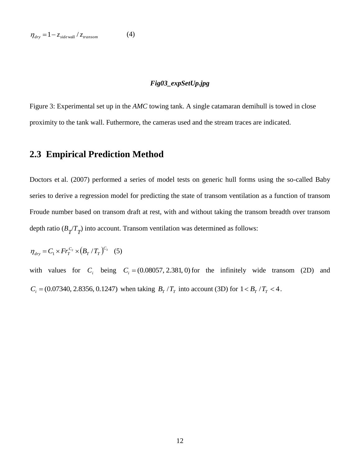### *Fig03\_expSetUp.jpg*

Figure 3: Experimental set up in the *AMC* towing tank. A single catamaran demihull is towed in close proximity to the tank wall. Futhermore, the cameras used and the stream traces are indicated.

# **2.3 Empirical Prediction Method**

Doctors et al. (2007) performed a series of model tests on generic hull forms using the so-called Baby series to derive a regression model for predicting the state of transom ventilation as a function of transom Froude number based on transom draft at rest, with and without taking the transom breadth over transom depth ratio  $(B_T/T_T)$  into account. Transom ventilation was determined as follows:

$$
\eta_{\text{dry}} = C_1 \times Fr_T^{C_2} \times (B_T/T_T)^{C_3} \quad (5)
$$

with values for  $C_i$  being  $C_i = (0.08057, 2.381, 0)$  for the infinitely wide transom (2D) and  $C_i = (0.07340, 2.8356, 0.1247)$  when taking  $B_T / T_T$  into account (3D) for  $1 < B_T / T_T < 4$ .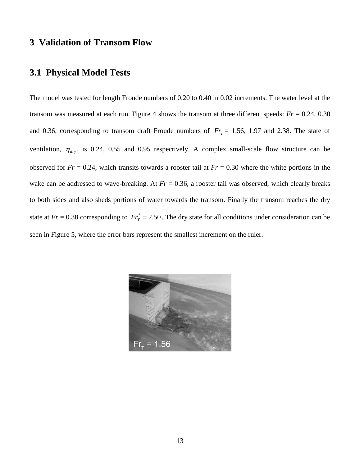# **3 Validation of Transom Flow**

## **3.1 Physical Model Tests**

The model was tested for length Froude numbers of 0.20 to 0.40 in 0.02 increments. The water level at the transom was measured at each run. Figure 4 shows the transom at three different speeds:  $Fr = 0.24$ , 0.30 and 0.36, corresponding to transom draft Froude numbers of  $Fr_T = 1.56$ , 1.97 and 2.38. The state of ventilation,  $\eta_{\text{dry}}$ , is 0.24, 0.55 and 0.95 respectively. A complex small-scale flow structure can be observed for  $Fr = 0.24$ , which transits towards a rooster tail at  $Fr = 0.30$  where the white portions in the wake can be addressed to wave-breaking. At  $Fr = 0.36$ , a rooster tail was observed, which clearly breaks to both sides and also sheds portions of water towards the transom. Finally the transom reaches the dry state at  $Fr = 0.38$  corresponding to  $Fr_T^* = 2.50$ . The dry state for all conditions under consideration can be seen in Figure 5, where the error bars represent the smallest increment on the ruler.

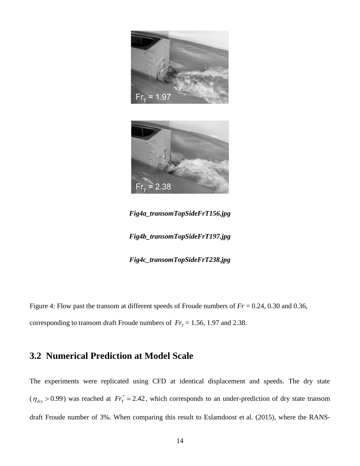



*Fig4a\_transomTopSideFrT156.jpg*

*Fig4b\_transomTopSideFrT197.jpg*

*Fig4c\_transomTopSideFrT238.jpg*

Figure 4: Flow past the transom at different speeds of Froude numbers of *Fr* = 0.24, 0.30 and 0.36, corresponding to transom draft Froude numbers of  $Fr_T = 1.56$ , 1.97 and 2.38.

# **3.2 Numerical Prediction at Model Scale**

The experiments were replicated using CFD at identical displacement and speeds. The dry state  $(\eta_{\text{dry}} > 0.99)$  was reached at  $Fr_T^* = 2.42$ , which corresponds to an under-prediction of dry state transom draft Froude number of 3%. When comparing this result to Eslamdoost et al. (2015), where the RANS-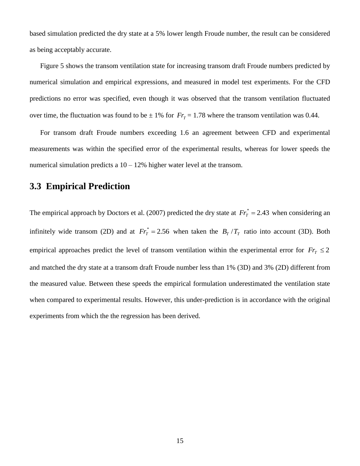based simulation predicted the dry state at a 5% lower length Froude number, the result can be considered as being acceptably accurate.

Figure 5 shows the transom ventilation state for increasing transom draft Froude numbers predicted by numerical simulation and empirical expressions, and measured in model test experiments. For the CFD predictions no error was specified, even though it was observed that the transom ventilation fluctuated over time, the fluctuation was found to be  $\pm$  1% for  $Fr_T = 1.78$  where the transom ventilation was 0.44.

For transom draft Froude numbers exceeding 1.6 an agreement between CFD and experimental measurements was within the specified error of the experimental results, whereas for lower speeds the numerical simulation predicts a  $10 - 12\%$  higher water level at the transom.

## **3.3 Empirical Prediction**

The empirical approach by Doctors et al. (2007) predicted the dry state at  $Fr_T^* = 2.43$  when considering an infinitely wide transom (2D) and at  $Fr_T^* = 2.56$  when taken the  $B_T/T_T$  ratio into account (3D). Both empirical approaches predict the level of transom ventilation within the experimental error for  $Fr<sub>T</sub> \leq 2$ and matched the dry state at a transom draft Froude number less than 1% (3D) and 3% (2D) different from the measured value. Between these speeds the empirical formulation underestimated the ventilation state when compared to experimental results. However, this under-prediction is in accordance with the original experiments from which the the regression has been derived.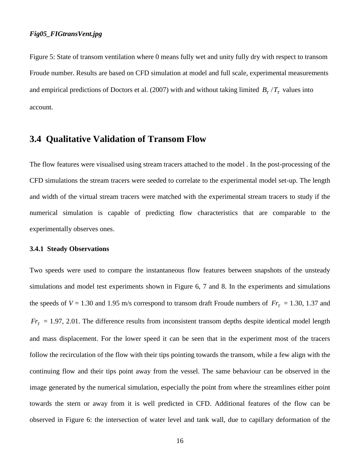#### *Fig05\_FIGtransVent.jpg*

Figure 5: State of transom ventilation where 0 means fully wet and unity fully dry with respect to transom Froude number. Results are based on CFD simulation at model and full scale, experimental measurements and empirical predictions of Doctors et al. (2007) with and without taking limited  $B_T/T_T$  values into account.

### **3.4 Qualitative Validation of Transom Flow**

The flow features were visualised using stream tracers attached to the model . In the post-processing of the CFD simulations the stream tracers were seeded to correlate to the experimental model set-up. The length and width of the virtual stream tracers were matched with the experimental stream tracers to study if the numerical simulation is capable of predicting flow characteristics that are comparable to the experimentally observes ones.

#### **3.4.1 Steady Observations**

Two speeds were used to compare the instantaneous flow features between snapshots of the unsteady simulations and model test experiments shown in Figure 6, 7 and 8. In the experiments and simulations the speeds of  $V = 1.30$  and 1.95 m/s correspond to transom draft Froude numbers of  $Fr_T = 1.30, 1.37$  and  $Fr<sub>T</sub> = 1.97, 2.01$ . The difference results from inconsistent transom depths despite identical model length and mass displacement. For the lower speed it can be seen that in the experiment most of the tracers follow the recirculation of the flow with their tips pointing towards the transom, while a few align with the continuing flow and their tips point away from the vessel. The same behaviour can be observed in the image generated by the numerical simulation, especially the point from where the streamlines either point towards the stern or away from it is well predicted in CFD. Additional features of the flow can be observed in Figure 6: the intersection of water level and tank wall, due to capillary deformation of the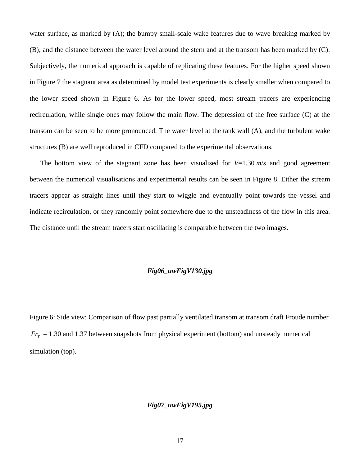water surface, as marked by (A); the bumpy small-scale wake features due to wave breaking marked by (B); and the distance between the water level around the stern and at the transom has been marked by (C). Subjectively, the numerical approach is capable of replicating these features. For the higher speed shown in Figure 7 the stagnant area as determined by model test experiments is clearly smaller when compared to the lower speed shown in Figure 6. As for the lower speed, most stream tracers are experiencing recirculation, while single ones may follow the main flow. The depression of the free surface (C) at the transom can be seen to be more pronounced. The water level at the tank wall (A), and the turbulent wake structures (B) are well reproduced in CFD compared to the experimental observations.

The bottom view of the stagnant zone has been visualised for  $V=1.30 \, \text{m/s}$  and good agreement between the numerical visualisations and experimental results can be seen in Figure 8. Either the stream tracers appear as straight lines until they start to wiggle and eventually point towards the vessel and indicate recirculation, or they randomly point somewhere due to the unsteadiness of the flow in this area. The distance until the stream tracers start oscillating is comparable between the two images.

### *Fig06\_uwFigV130.jpg*

Figure 6: Side view: Comparison of flow past partially ventilated transom at transom draft Froude number  $Fr<sub>T</sub> = 1.30$  and 1.37 between snapshots from physical experiment (bottom) and unsteady numerical simulation (top).

### *Fig07\_uwFigV195.jpg*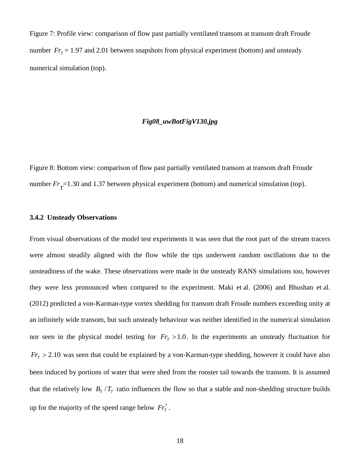Figure 7: Profile view: comparison of flow past partially ventilated transom at transom draft Froude number  $Fr_T = 1.97$  and 2.01 between snapshots from physical experiment (bottom) and unsteady numerical simulation (top).

#### *Fig08\_uwBotFigV130.jpg*

Figure 8: Bottom view: comparison of flow past partially ventilated transom at transom draft Froude number  $Fr_{\overline{T}}$ =1.30 and 1.37 between physical experiment (bottom) and numerical simulation (top).

#### **3.4.2 Unsteady Observations**

From visual observations of the model test experiments it was seen that the root part of the stream tracers were almost steadily aligned with the flow while the tips underwent random oscillations due to the unsteadiness of the wake. These observations were made in the unsteady RANS simulations too, however they were less pronounced when compared to the experiment. Maki et al. (2006) and Bhushan et al. (2012) predicted a von-Karman-type vortex shedding for transom draft Froude numbers exceeding unity at an infinitely wide transom, but such unsteady behaviour was neither identified in the numerical simulation nor seen in the physical model testing for  $Fr<sub>T</sub> > 1.0$ . In the experiments an unsteady fluctuation for  $Fr<sub>T</sub>$  > 2.10 was seen that could be explained by a von-Karman-type shedding, however it could have also been induced by portions of water that were shed from the rooster tail towards the transom. It is assumed that the relatively low  $B_T/T_T$  ratio influences the flow so that a stable and non-shedding structure builds up for the majority of the speed range below  $Fr<sub>r</sub><sup>*</sup>$ .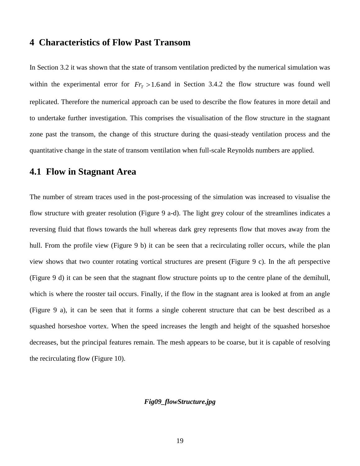## **4 Characteristics of Flow Past Transom**

In Section 3.2 it was shown that the state of transom ventilation predicted by the numerical simulation was within the experimental error for  $Fr<sub>T</sub> > 1.6$  and in Section 3.4.2 the flow structure was found well replicated. Therefore the numerical approach can be used to describe the flow features in more detail and to undertake further investigation. This comprises the visualisation of the flow structure in the stagnant zone past the transom, the change of this structure during the quasi-steady ventilation process and the quantitative change in the state of transom ventilation when full-scale Reynolds numbers are applied.

## **4.1 Flow in Stagnant Area**

The number of stream traces used in the post-processing of the simulation was increased to visualise the flow structure with greater resolution (Figure 9 a-d). The light grey colour of the streamlines indicates a reversing fluid that flows towards the hull whereas dark grey represents flow that moves away from the hull. From the profile view (Figure 9 b) it can be seen that a recirculating roller occurs, while the plan view shows that two counter rotating vortical structures are present (Figure 9 c). In the aft perspective (Figure 9 d) it can be seen that the stagnant flow structure points up to the centre plane of the demihull, which is where the rooster tail occurs. Finally, if the flow in the stagnant area is looked at from an angle (Figure 9 a), it can be seen that it forms a single coherent structure that can be best described as a squashed horseshoe vortex. When the speed increases the length and height of the squashed horseshoe decreases, but the principal features remain. The mesh appears to be coarse, but it is capable of resolving the recirculating flow (Figure 10).

#### *Fig09\_flowStructure.jpg*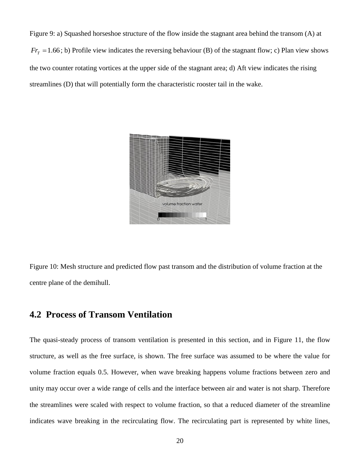Figure 9: a) Squashed horseshoe structure of the flow inside the stagnant area behind the transom (A) at  $Fr$ <sup> $T$ </sup> $T$  = 1.66; b) Profile view indicates the reversing behaviour (B) of the stagnant flow; c) Plan view shows the two counter rotating vortices at the upper side of the stagnant area; d) Aft view indicates the rising streamlines (D) that will potentially form the characteristic rooster tail in the wake.



Figure 10: Mesh structure and predicted flow past transom and the distribution of volume fraction at the centre plane of the demihull.

# **4.2 Process of Transom Ventilation**

The quasi-steady process of transom ventilation is presented in this section, and in Figure 11, the flow structure, as well as the free surface, is shown. The free surface was assumed to be where the value for volume fraction equals 0.5. However, when wave breaking happens volume fractions between zero and unity may occur over a wide range of cells and the interface between air and water is not sharp. Therefore the streamlines were scaled with respect to volume fraction, so that a reduced diameter of the streamline indicates wave breaking in the recirculating flow. The recirculating part is represented by white lines,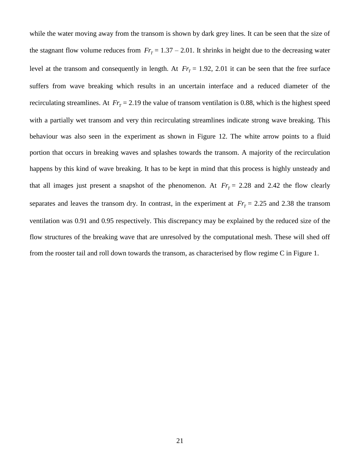while the water moving away from the transom is shown by dark grey lines. It can be seen that the size of the stagnant flow volume reduces from  $Fr_T = 1.37 - 2.01$ . It shrinks in height due to the decreasing water level at the transom and consequently in length. At  $Fr_T = 1.92$ , 2.01 it can be seen that the free surface suffers from wave breaking which results in an uncertain interface and a reduced diameter of the recirculating streamlines. At  $Fr_T = 2.19$  the value of transom ventilation is 0.88, which is the highest speed with a partially wet transom and very thin recirculating streamlines indicate strong wave breaking. This behaviour was also seen in the experiment as shown in Figure 12. The white arrow points to a fluid portion that occurs in breaking waves and splashes towards the transom. A majority of the recirculation happens by this kind of wave breaking. It has to be kept in mind that this process is highly unsteady and that all images just present a snapshot of the phenomenon. At  $Fr_T = 2.28$  and 2.42 the flow clearly separates and leaves the transom dry. In contrast, in the experiment at  $Fr_T = 2.25$  and 2.38 the transom ventilation was 0.91 and 0.95 respectively. This discrepancy may be explained by the reduced size of the flow structures of the breaking wave that are unresolved by the computational mesh. These will shed off from the rooster tail and roll down towards the transom, as characterised by flow regime C in Figure 1.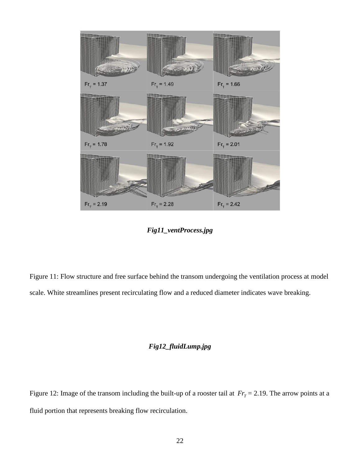

*Fig11\_ventProcess.jpg*

Figure 11: Flow structure and free surface behind the transom undergoing the ventilation process at model scale. White streamlines present recirculating flow and a reduced diameter indicates wave breaking.

### *Fig12\_fluidLump.jpg*

Figure 12: Image of the transom including the built-up of a rooster tail at  $Fr_T = 2.19$ . The arrow points at a fluid portion that represents breaking flow recirculation.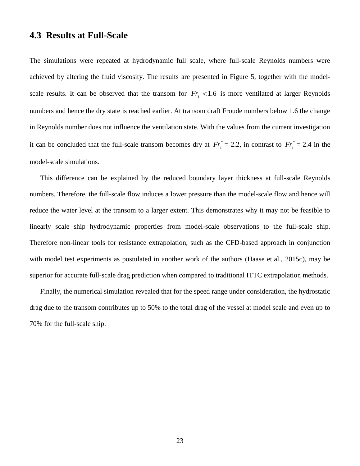## **4.3 Results at Full-Scale**

The simulations were repeated at hydrodynamic full scale, where full-scale Reynolds numbers were achieved by altering the fluid viscosity. The results are presented in Figure 5, together with the modelscale results. It can be observed that the transom for  $Fr<sub>T</sub> < 1.6$  is more ventilated at larger Reynolds numbers and hence the dry state is reached earlier. At transom draft Froude numbers below 1.6 the change in Reynolds number does not influence the ventilation state. With the values from the current investigation it can be concluded that the full-scale transom becomes dry at  $Fr_T^* = 2.2$ , in contrast to  $Fr_T^* = 2.4$  in the model-scale simulations.

This difference can be explained by the reduced boundary layer thickness at full-scale Reynolds numbers. Therefore, the full-scale flow induces a lower pressure than the model-scale flow and hence will reduce the water level at the transom to a larger extent. This demonstrates why it may not be feasible to linearly scale ship hydrodynamic properties from model-scale observations to the full-scale ship. Therefore non-linear tools for resistance extrapolation, such as the CFD-based approach in conjunction with model test experiments as postulated in another work of the authors (Haase et al., 2015c), may be superior for accurate full-scale drag prediction when compared to traditional ITTC extrapolation methods.

Finally, the numerical simulation revealed that for the speed range under consideration, the hydrostatic drag due to the transom contributes up to 50% to the total drag of the vessel at model scale and even up to 70% for the full-scale ship.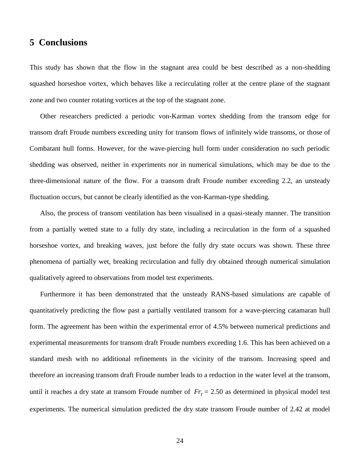# **5 Conclusions**

This study has shown that the flow in the stagnant area could be best described as a non-shedding squashed horseshoe vortex, which behaves like a recirculating roller at the centre plane of the stagnant zone and two counter rotating vortices at the top of the stagnant zone.

Other researchers predicted a periodic von-Karman vortex shedding from the transom edge for transom draft Froude numbers exceeding unity for transom flows of infinitely wide transoms, or those of Combatant hull forms. However, for the wave-piercing hull form under consideration no such periodic shedding was observed, neither in experiments nor in numerical simulations, which may be due to the three-dimensional nature of the flow. For a transom draft Froude number exceeding 2.2, an unsteady fluctuation occurs, but cannot be clearly identified as the von-Karman-type shedding.

Also, the process of transom ventilation has been visualised in a quasi-steady manner. The transition from a partially wetted state to a fully dry state, including a recirculation in the form of a squashed horseshoe vortex, and breaking waves, just before the fully dry state occurs was shown. These three phenomena of partially wet, breaking recirculation and fully dry obtained through numerical simulation qualitatively agreed to observations from model test experiments.

Furthermore it has been demonstrated that the unsteady RANS-based simulations are capable of quantitatively predicting the flow past a partially ventilated transom for a wave-piercing catamaran hull form. The agreement has been within the experimental error of 4.5% between numerical predictions and experimental measurements for transom draft Froude numbers exceeding 1.6. This has been achieved on a standard mesh with no additional refinements in the vicinity of the transom. Increasing speed and therefore an increasing transom draft Froude number leads to a reduction in the water level at the transom, until it reaches a dry state at transom Froude number of  $Fr_T = 2.50$  as determined in physical model test experiments. The numerical simulation predicted the dry state transom Froude number of 2.42 at model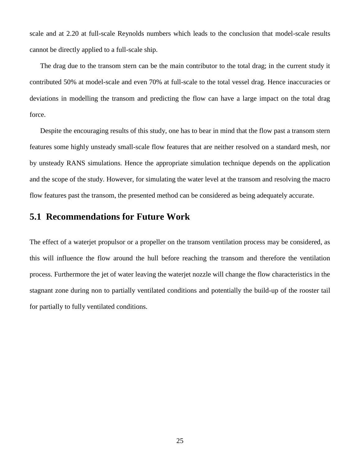scale and at 2.20 at full-scale Reynolds numbers which leads to the conclusion that model-scale results cannot be directly applied to a full-scale ship.

The drag due to the transom stern can be the main contributor to the total drag; in the current study it contributed 50% at model-scale and even 70% at full-scale to the total vessel drag. Hence inaccuracies or deviations in modelling the transom and predicting the flow can have a large impact on the total drag force.

Despite the encouraging results of this study, one has to bear in mind that the flow past a transom stern features some highly unsteady small-scale flow features that are neither resolved on a standard mesh, nor by unsteady RANS simulations. Hence the appropriate simulation technique depends on the application and the scope of the study. However, for simulating the water level at the transom and resolving the macro flow features past the transom, the presented method can be considered as being adequately accurate.

## **5.1 Recommendations for Future Work**

The effect of a waterjet propulsor or a propeller on the transom ventilation process may be considered, as this will influence the flow around the hull before reaching the transom and therefore the ventilation process. Furthermore the jet of water leaving the waterjet nozzle will change the flow characteristics in the stagnant zone during non to partially ventilated conditions and potentially the build-up of the rooster tail for partially to fully ventilated conditions.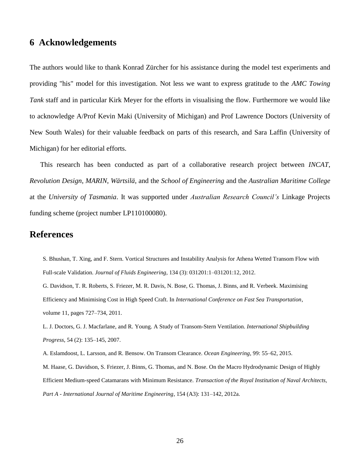## **6 Acknowledgements**

The authors would like to thank Konrad Zürcher for his assistance during the model test experiments and providing "his" model for this investigation. Not less we want to express gratitude to the *AMC Towing Tank* staff and in particular Kirk Meyer for the efforts in visualising the flow. Furthermore we would like to acknowledge A/Prof Kevin Maki (University of Michigan) and Prof Lawrence Doctors (University of New South Wales) for their valuable feedback on parts of this research, and Sara Laffin (University of Michigan) for her editorial efforts.

This research has been conducted as part of a collaborative research project between *INCAT*, *Revolution Design*, *MARIN*, *Wärtsilä*, and the *School of Engineering* and the *Australian Maritime College* at the *University of Tasmania*. It was supported under *Australian Research Council's* Linkage Projects funding scheme (project number LP110100080).

# **References**

S. Bhushan, T. Xing, and F. Stern. Vortical Structures and Instability Analysis for Athena Wetted Transom Flow with Full-scale Validation. *Journal of Fluids Engineering*, 134 (3): 031201:1–031201:12, 2012.

G. Davidson, T. R. Roberts, S. Friezer, M. R. Davis, N. Bose, G. Thomas, J. Binns, and R. Verbeek. Maximising Efficiency and Minimising Cost in High Speed Craft. In *International Conference on Fast Sea Transportation*, volume 11, pages 727–734, 2011.

L. J. Doctors, G. J. Macfarlane, and R. Young. A Study of Transom-Stern Ventilation. *International Shipbuilding Progress*, 54 (2): 135–145, 2007.

A. Eslamdoost, L. Larsson, and R. Bensow. On Transom Clearance. *Ocean Engineering*, 99: 55–62, 2015. M. Haase, G. Davidson, S. Friezer, J. Binns, G. Thomas, and N. Bose. On the Macro Hydrodynamic Design of Highly Efficient Medium-speed Catamarans with Minimum Resistance. *Transaction of the Royal Institution of Naval Architects, Part A - International Journal of Maritime Engineering*, 154 (A3): 131–142, 2012a.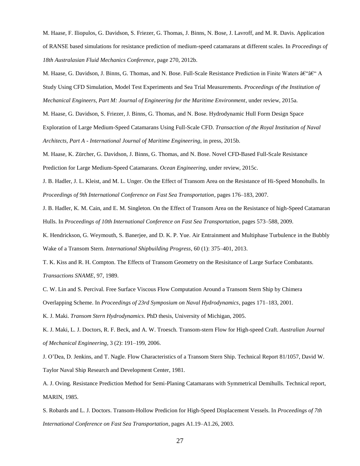M. Haase, F. Iliopulos, G. Davidson, S. Friezer, G. Thomas, J. Binns, N. Bose, J. Lavroff, and M. R. Davis. Application of RANSE based simulations for resistance prediction of medium-speed catamarans at different scales. In *Proceedings of 18th Australasian Fluid Mechanics Conference*, page 270, 2012b.

M. Haase, G. Davidson, J. Binns, G. Thomas, and N. Bose. Full-Scale Resistance Prediction in Finite Waters †"â€" A Study Using CFD Simulation, Model Test Experiments and Sea Trial Measurements. *Proceedings of the Institution of Mechanical Engineers, Part M: Journal of Engineering for the Maritime Environment*, under review, 2015a.

M. Haase, G. Davidson, S. Friezer, J. Binns, G. Thomas, and N. Bose. Hydrodynamic Hull Form Design Space Exploration of Large Medium-Speed Catamarans Using Full-Scale CFD. *Transaction of the Royal Institution of Naval Architects, Part A - International Journal of Maritime Engineering*, in press, 2015b.

M. Haase, K. Zürcher, G. Davidson, J. Binns, G. Thomas, and N. Bose. Novel CFD-Based Full-Scale Resistance Prediction for Large Medium-Speed Catamarans. *Ocean Engineering*, under review, 2015c.

J. B. Hadler, J. L. Kleist, and M. L. Unger. On the Effect of Transom Area on the Resistance of Hi-Speed Monohulls. In *Proceedings of 9th International Conference on Fast Sea Transportation*, pages 176–183, 2007.

J. B. Hadler, K. M. Cain, and E. M. Singleton. On the Effect of Transom Area on the Resistance of high-Speed Catamaran Hulls. In *Proceedings of 10th International Conference on Fast Sea Transportation*, pages 573–588, 2009.

K. Hendrickson, G. Weymouth, S. Banerjee, and D. K. P. Yue. Air Entrainment and Multiphase Turbulence in the Bubbly Wake of a Transom Stern. *International Shipbuilding Progress*, 60 (1): 375–401, 2013.

T. K. Kiss and R. H. Compton. The Effects of Transom Geometry on the Resisitance of Large Surface Combatants. *Transactions SNAME*, 97, 1989.

C. W. Lin and S. Percival. Free Surface Viscous Flow Computation Around a Transom Stern Ship by Chimera Overlapping Scheme. In *Proceedings of 23rd Symposium on Naval Hydrodynamics*, pages 171–183, 2001.

K. J. Maki. *Transom Stern Hydrodynamics*. PhD thesis, University of Michigan, 2005.

K. J. Maki, L. J. Doctors, R. F. Beck, and A. W. Troesch. Transom-stern Flow for High-speed Craft. *Australian Journal of Mechanical Engineering*, 3 (2): 191–199, 2006.

J. O'Dea, D. Jenkins, and T. Nagle. Flow Characteristics of a Transom Stern Ship. Technical Report 81/1057, David W. Taylor Naval Ship Research and Development Center, 1981.

A. J. Oving. Resistance Prediction Method for Semi-Planing Catamarans with Symmetrical Demihulls. Technical report, MARIN, 1985.

S. Robards and L. J. Doctors. Transom-Hollow Predicion for High-Speed Displacement Vessels. In *Proceedings of 7th International Conference on Fast Sea Transportation*, pages A1.19–A1.26, 2003.